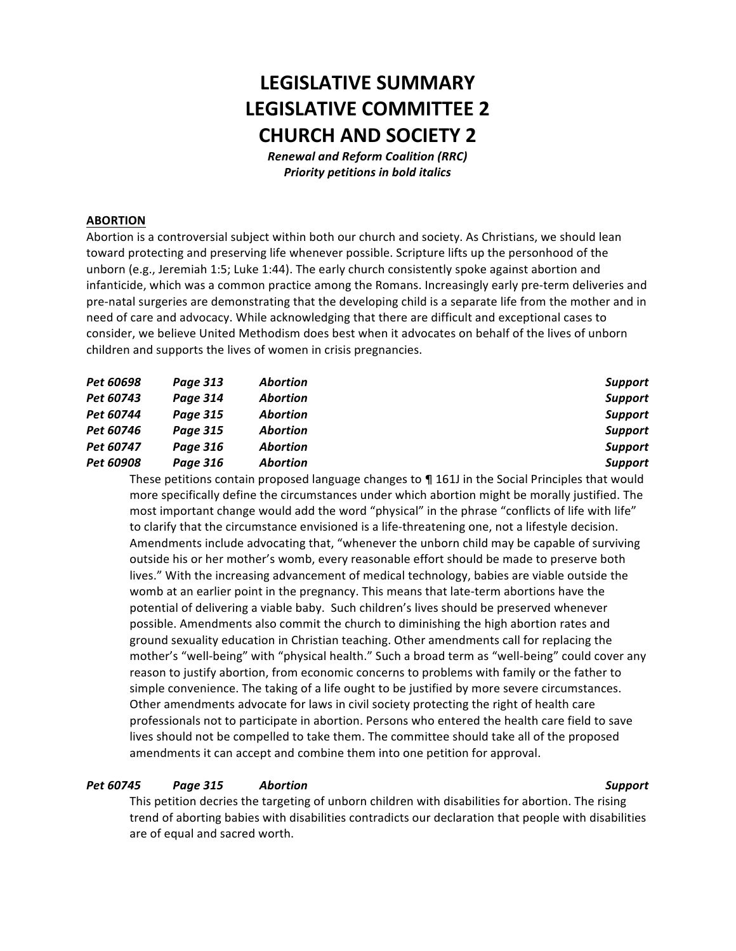# **LEGISLATIVE SUMMARY LEGISLATIVE COMMITTEE 2 CHURCH AND SOCIETY 2**

*Renewal and Reform Coalition (RRC)* **Priority petitions in bold italics** 

### **ABORTION**

Abortion is a controversial subject within both our church and society. As Christians, we should lean toward protecting and preserving life whenever possible. Scripture lifts up the personhood of the unborn (e.g., Jeremiah 1:5; Luke 1:44). The early church consistently spoke against abortion and infanticide, which was a common practice among the Romans. Increasingly early pre-term deliveries and pre-natal surgeries are demonstrating that the developing child is a separate life from the mother and in need of care and advocacy. While acknowledging that there are difficult and exceptional cases to consider, we believe United Methodism does best when it advocates on behalf of the lives of unborn children and supports the lives of women in crisis pregnancies.

| Pet 60698 | Page 313 | <b>Abortion</b> | <b>Support</b> |
|-----------|----------|-----------------|----------------|
| Pet 60743 | Page 314 | <b>Abortion</b> | <b>Support</b> |
| Pet 60744 | Page 315 | <b>Abortion</b> | <b>Support</b> |
| Pet 60746 | Page 315 | <b>Abortion</b> | <b>Support</b> |
| Pet 60747 | Page 316 | Abortion        | <b>Support</b> |
| Pet 60908 | Page 316 | Abortion        | <b>Support</b> |

These petitions contain proposed language changes to  $\P$  161J in the Social Principles that would more specifically define the circumstances under which abortion might be morally justified. The most important change would add the word "physical" in the phrase "conflicts of life with life" to clarify that the circumstance envisioned is a life-threatening one, not a lifestyle decision. Amendments include advocating that, "whenever the unborn child may be capable of surviving outside his or her mother's womb, every reasonable effort should be made to preserve both lives." With the increasing advancement of medical technology, babies are viable outside the womb at an earlier point in the pregnancy. This means that late-term abortions have the potential of delivering a viable baby. Such children's lives should be preserved whenever possible. Amendments also commit the church to diminishing the high abortion rates and ground sexuality education in Christian teaching. Other amendments call for replacing the mother's "well-being" with "physical health." Such a broad term as "well-being" could cover any reason to justify abortion, from economic concerns to problems with family or the father to simple convenience. The taking of a life ought to be justified by more severe circumstances. Other amendments advocate for laws in civil society protecting the right of health care professionals not to participate in abortion. Persons who entered the health care field to save lives should not be compelled to take them. The committee should take all of the proposed amendments it can accept and combine them into one petition for approval.

### *Pet 60745 Page 315 Abortion Support*

This petition decries the targeting of unborn children with disabilities for abortion. The rising trend of aborting babies with disabilities contradicts our declaration that people with disabilities are of equal and sacred worth.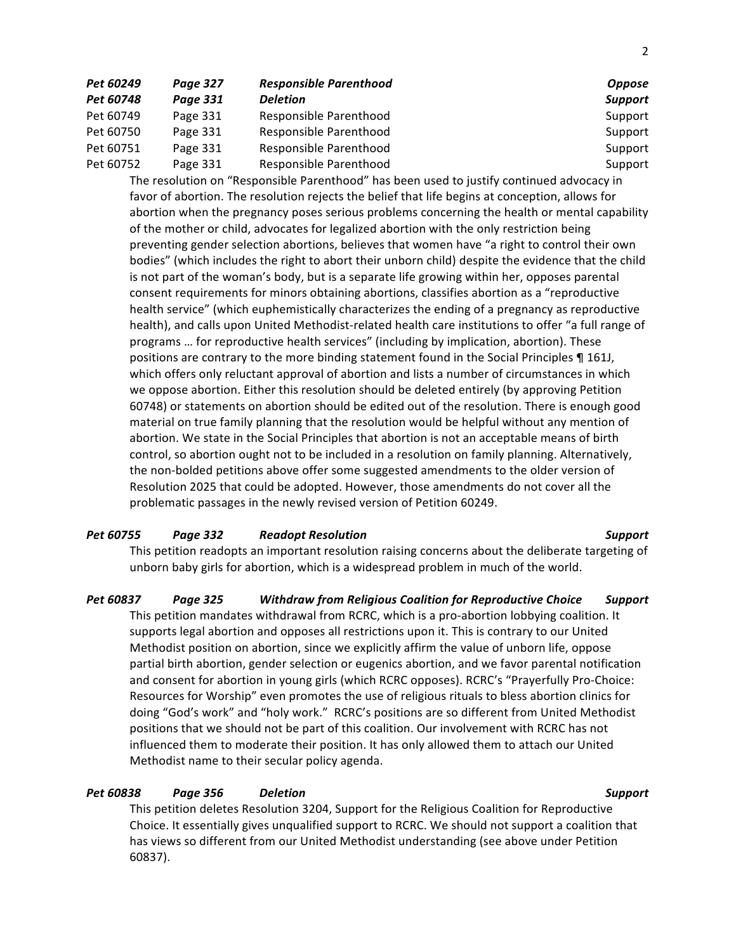| Pet 60249 | Page 327 | <b>Responsible Parenthood</b> | <b>Oppose</b>  |
|-----------|----------|-------------------------------|----------------|
| Pet 60748 | Page 331 | <b>Deletion</b>               | <b>Support</b> |
| Pet 60749 | Page 331 | Responsible Parenthood        | Support        |
| Pet 60750 | Page 331 | Responsible Parenthood        | Support        |
| Pet 60751 | Page 331 | Responsible Parenthood        | Support        |
| Pet 60752 | Page 331 | Responsible Parenthood        | Support        |

The resolution on "Responsible Parenthood" has been used to justify continued advocacy in favor of abortion. The resolution rejects the belief that life begins at conception, allows for abortion when the pregnancy poses serious problems concerning the health or mental capability of the mother or child, advocates for legalized abortion with the only restriction being preventing gender selection abortions, believes that women have "a right to control their own bodies" (which includes the right to abort their unborn child) despite the evidence that the child is not part of the woman's body, but is a separate life growing within her, opposes parental consent requirements for minors obtaining abortions, classifies abortion as a "reproductive health service" (which euphemistically characterizes the ending of a pregnancy as reproductive health), and calls upon United Methodist-related health care institutions to offer "a full range of programs ... for reproductive health services" (including by implication, abortion). These positions are contrary to the more binding statement found in the Social Principles ¶ 161J, which offers only reluctant approval of abortion and lists a number of circumstances in which we oppose abortion. Either this resolution should be deleted entirely (by approving Petition 60748) or statements on abortion should be edited out of the resolution. There is enough good material on true family planning that the resolution would be helpful without any mention of abortion. We state in the Social Principles that abortion is not an acceptable means of birth control, so abortion ought not to be included in a resolution on family planning. Alternatively, the non-bolded petitions above offer some suggested amendments to the older version of Resolution 2025 that could be adopted. However, those amendments do not cover all the problematic passages in the newly revised version of Petition 60249.

### *Pet 60755 Page 332 Readopt Resolution Support*

This petition readopts an important resolution raising concerns about the deliberate targeting of unborn baby girls for abortion, which is a widespread problem in much of the world.

*Pet 60837 Page 325 Withdraw from Religious Coalition for Reproductive Choice Support* This petition mandates withdrawal from RCRC, which is a pro-abortion lobbying coalition. It supports legal abortion and opposes all restrictions upon it. This is contrary to our United Methodist position on abortion, since we explicitly affirm the value of unborn life, oppose partial birth abortion, gender selection or eugenics abortion, and we favor parental notification and consent for abortion in young girls (which RCRC opposes). RCRC's "Prayerfully Pro-Choice: Resources for Worship" even promotes the use of religious rituals to bless abortion clinics for doing "God's work" and "holy work." RCRC's positions are so different from United Methodist positions that we should not be part of this coalition. Our involvement with RCRC has not influenced them to moderate their position. It has only allowed them to attach our United Methodist name to their secular policy agenda.

# *Pet 60838 Page 356 Deletion Support*

This petition deletes Resolution 3204, Support for the Religious Coalition for Reproductive Choice. It essentially gives unqualified support to RCRC. We should not support a coalition that has views so different from our United Methodist understanding (see above under Petition 60837).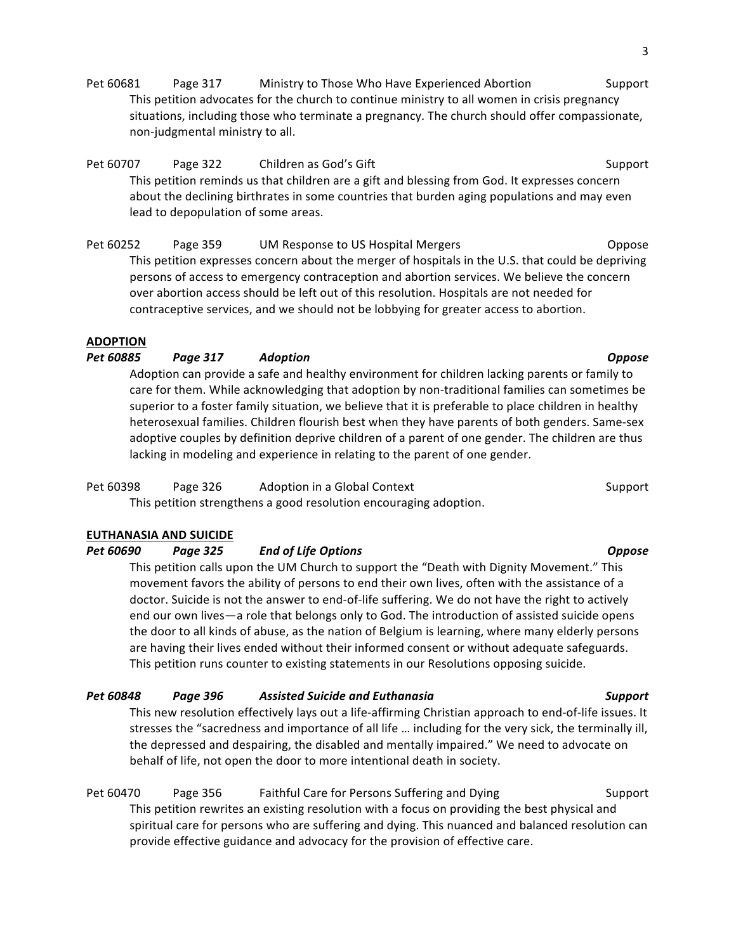Pet 60681 Page 317 Ministry to Those Who Have Experienced Abortion Support This petition advocates for the church to continue ministry to all women in crisis pregnancy situations, including those who terminate a pregnancy. The church should offer compassionate, non-judgmental ministry to all.

Pet 60707 Page 322 Children as God's Gift Support Support This petition reminds us that children are a gift and blessing from God. It expresses concern about the declining birthrates in some countries that burden aging populations and may even lead to depopulation of some areas.

Pet 60252 Page 359 UM Response to US Hospital Mergers Theorem Coppose This petition expresses concern about the merger of hospitals in the U.S. that could be depriving persons of access to emergency contraception and abortion services. We believe the concern over abortion access should be left out of this resolution. Hospitals are not needed for contraceptive services, and we should not be lobbying for greater access to abortion.

### **ADOPTION**

# *Pet 60885 Page 317 Adoption Oppose*

Adoption can provide a safe and healthy environment for children lacking parents or family to care for them. While acknowledging that adoption by non-traditional families can sometimes be superior to a foster family situation, we believe that it is preferable to place children in healthy heterosexual families. Children flourish best when they have parents of both genders. Same-sex adoptive couples by definition deprive children of a parent of one gender. The children are thus lacking in modeling and experience in relating to the parent of one gender.

# Pet 60398 Page 326 Adoption in a Global Context Support Support

This petition strengthens a good resolution encouraging adoption.

# **EUTHANASIA AND SUICIDE**

*Pet 60690 Page 325 End of Life Options Oppose*

This petition calls upon the UM Church to support the "Death with Dignity Movement." This movement favors the ability of persons to end their own lives, often with the assistance of a doctor. Suicide is not the answer to end-of-life suffering. We do not have the right to actively end our own lives—a role that belongs only to God. The introduction of assisted suicide opens the door to all kinds of abuse, as the nation of Belgium is learning, where many elderly persons are having their lives ended without their informed consent or without adequate safeguards. This petition runs counter to existing statements in our Resolutions opposing suicide.

# *Pet 60848 Page 396 Assisted Suicide and Euthanasia Support*

This new resolution effectively lays out a life-affirming Christian approach to end-of-life issues. It stresses the "sacredness and importance of all life ... including for the very sick, the terminally ill, the depressed and despairing, the disabled and mentally impaired." We need to advocate on behalf of life, not open the door to more intentional death in society.

Pet 60470 Page 356 Faithful Care for Persons Suffering and Dying Support This petition rewrites an existing resolution with a focus on providing the best physical and spiritual care for persons who are suffering and dying. This nuanced and balanced resolution can provide effective guidance and advocacy for the provision of effective care.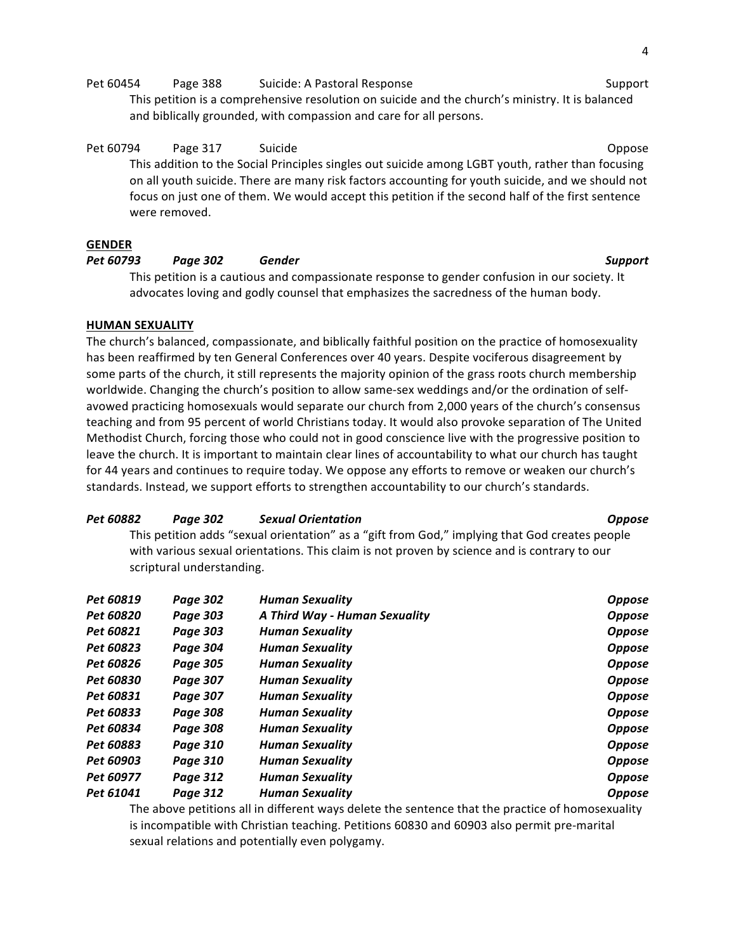Pet 60454 Page 388 Suicide: A Pastoral Response Support Support

This petition is a comprehensive resolution on suicide and the church's ministry. It is balanced and biblically grounded, with compassion and care for all persons.

Pet 60794 Page 317 Suicide Communication Communication Communication Communication Communication Communication This addition to the Social Principles singles out suicide among LGBT youth, rather than focusing on all youth suicide. There are many risk factors accounting for youth suicide, and we should not focus on just one of them. We would accept this petition if the second half of the first sentence were removed.

### **GENDER**

# *Pet 60793 Page 302 Gender Support*

This petition is a cautious and compassionate response to gender confusion in our society. It advocates loving and godly counsel that emphasizes the sacredness of the human body.

### **HUMAN SEXUALITY**

The church's balanced, compassionate, and biblically faithful position on the practice of homosexuality has been reaffirmed by ten General Conferences over 40 years. Despite vociferous disagreement by some parts of the church, it still represents the majority opinion of the grass roots church membership worldwide. Changing the church's position to allow same-sex weddings and/or the ordination of selfavowed practicing homosexuals would separate our church from 2,000 years of the church's consensus teaching and from 95 percent of world Christians today. It would also provoke separation of The United Methodist Church, forcing those who could not in good conscience live with the progressive position to leave the church. It is important to maintain clear lines of accountability to what our church has taught for 44 years and continues to require today. We oppose any efforts to remove or weaken our church's standards. Instead, we support efforts to strengthen accountability to our church's standards.

### *Pet 60882 Page 302 Sexual Orientation Oppose*

This petition adds "sexual orientation" as a "gift from God," implying that God creates people with various sexual orientations. This claim is not proven by science and is contrary to our scriptural understanding.

| Pet 60819 | Page 302        | <b>Human Sexuality</b>        | <b>Oppose</b> |
|-----------|-----------------|-------------------------------|---------------|
| Pet 60820 | Page 303        | A Third Way - Human Sexuality | <b>Oppose</b> |
| Pet 60821 | <b>Page 303</b> | <b>Human Sexuality</b>        | <b>Oppose</b> |
| Pet 60823 | Page 304        | <b>Human Sexuality</b>        | <b>Oppose</b> |
| Pet 60826 | Page 305        | <b>Human Sexuality</b>        | <b>Oppose</b> |
| Pet 60830 | <b>Page 307</b> | <b>Human Sexuality</b>        | <b>Oppose</b> |
| Pet 60831 | <b>Page 307</b> | <b>Human Sexuality</b>        | <b>Oppose</b> |
| Pet 60833 | <b>Page 308</b> | <b>Human Sexuality</b>        | <b>Oppose</b> |
| Pet 60834 | <b>Page 308</b> | <b>Human Sexuality</b>        | <b>Oppose</b> |
| Pet 60883 | Page 310        | <b>Human Sexuality</b>        | <b>Oppose</b> |
| Pet 60903 | Page 310        | <b>Human Sexuality</b>        | <b>Oppose</b> |
| Pet 60977 | Page 312        | <b>Human Sexuality</b>        | <b>Oppose</b> |
| Pet 61041 | Page 312        | <b>Human Sexuality</b>        | <b>Oppose</b> |

The above petitions all in different ways delete the sentence that the practice of homosexuality is incompatible with Christian teaching. Petitions 60830 and 60903 also permit pre-marital sexual relations and potentially even polygamy.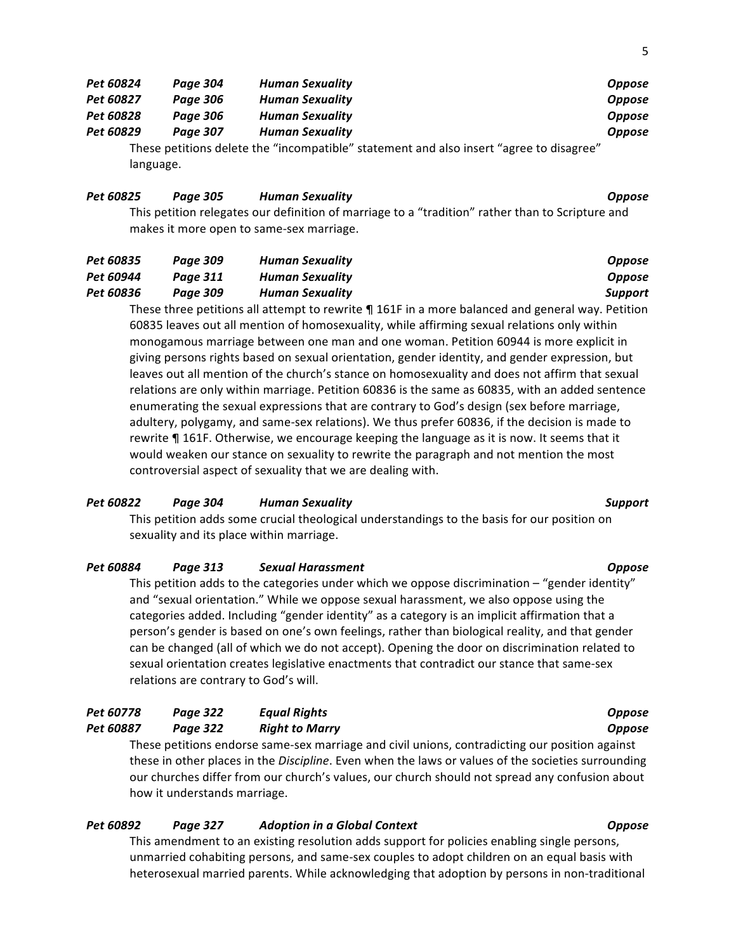| Pet 60824 | Page 304 | <b>Human Sexuality</b>                                                                  | <b>Oppose</b> |
|-----------|----------|-----------------------------------------------------------------------------------------|---------------|
| Pet 60827 | Page 306 | <b>Human Sexuality</b>                                                                  | <b>Oppose</b> |
| Pet 60828 | Page 306 | <b>Human Sexuality</b>                                                                  | <b>Oppose</b> |
| Pet 60829 | Page 307 | <b>Human Sexuality</b>                                                                  | <b>Oppose</b> |
|           |          | These netitions delete the "incompatible" statement and also insert "agree to disagree" |               |

These petitions delete the "incompatible" statement and also insert "agree to disagree  $\overline{\phantom{a}}$ language.

## *Pet 60825 Page 305 Human Sexuality Oppose*

This petition relegates our definition of marriage to a "tradition" rather than to Scripture and makes it more open to same-sex marriage.

| Pet 60835 | Page 309 | <b>Human Sexuality</b> | Oppose  |
|-----------|----------|------------------------|---------|
| Pet 60944 | Paae 311 | <b>Human Sexuality</b> | Oppose  |
| Pet 60836 | Paae 309 | Human Sexuality        | Support |
|           |          |                        |         |

These three petitions all attempt to rewrite  $\P$  161F in a more balanced and general way. Petition 60835 leaves out all mention of homosexuality, while affirming sexual relations only within monogamous marriage between one man and one woman. Petition 60944 is more explicit in giving persons rights based on sexual orientation, gender identity, and gender expression, but leaves out all mention of the church's stance on homosexuality and does not affirm that sexual relations are only within marriage. Petition 60836 is the same as 60835, with an added sentence enumerating the sexual expressions that are contrary to God's design (sex before marriage, adultery, polygamy, and same-sex relations). We thus prefer 60836, if the decision is made to rewrite  $\P$  161F. Otherwise, we encourage keeping the language as it is now. It seems that it would weaken our stance on sexuality to rewrite the paragraph and not mention the most controversial aspect of sexuality that we are dealing with.

# *Pet 60822 Page 304 Human Sexuality Support*

This petition adds some crucial theological understandings to the basis for our position on sexuality and its place within marriage.

### *Pet 60884 Page 313 Sexual Harassment Oppose*

This petition adds to the categories under which we oppose discrimination  $-$  "gender identity" and "sexual orientation." While we oppose sexual harassment, we also oppose using the categories added. Including "gender identity" as a category is an implicit affirmation that a person's gender is based on one's own feelings, rather than biological reality, and that gender can be changed (all of which we do not accept). Opening the door on discrimination related to sexual orientation creates legislative enactments that contradict our stance that same-sex relations are contrary to God's will.

| Pet 60778                                                                                      | Page 322 | Egual Rights          | <b>Oppose</b> |  |
|------------------------------------------------------------------------------------------------|----------|-----------------------|---------------|--|
| <b>Pet 60887</b>                                                                               | Paae 322 | <b>Right to Marry</b> | <b>Oppose</b> |  |
| These petitions endorse same-sex marriage and civil unions, contradicting our position against |          |                       |               |  |

these in other places in the *Discipline*. Even when the laws or values of the societies surrounding our churches differ from our church's values, our church should not spread any confusion about how it understands marriage.

# *Pet 60892 Page 327 Adoption in a Global Context Oppose*

This amendment to an existing resolution adds support for policies enabling single persons, unmarried cohabiting persons, and same-sex couples to adopt children on an equal basis with heterosexual married parents. While acknowledging that adoption by persons in non-traditional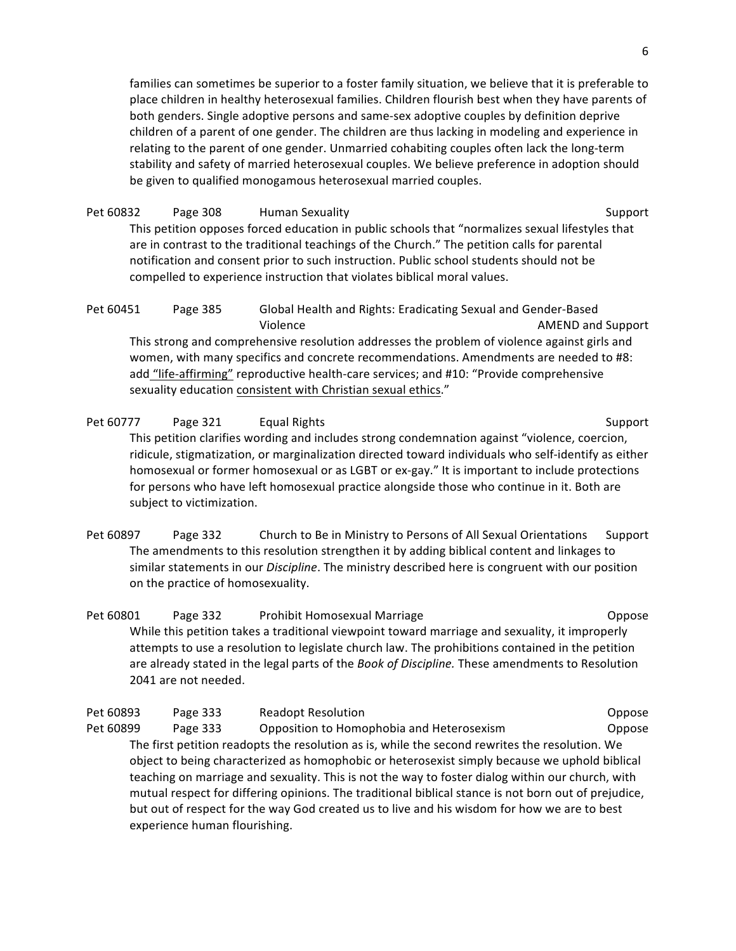families can sometimes be superior to a foster family situation, we believe that it is preferable to place children in healthy heterosexual families. Children flourish best when they have parents of both genders. Single adoptive persons and same-sex adoptive couples by definition deprive children of a parent of one gender. The children are thus lacking in modeling and experience in relating to the parent of one gender. Unmarried cohabiting couples often lack the long-term stability and safety of married heterosexual couples. We believe preference in adoption should be given to qualified monogamous heterosexual married couples.

Pet 60832 Page 308 Human Sexuality Number of Support Support This petition opposes forced education in public schools that "normalizes sexual lifestyles that are in contrast to the traditional teachings of the Church." The petition calls for parental notification and consent prior to such instruction. Public school students should not be compelled to experience instruction that violates biblical moral values.

Pet 60451 Page 385 Global Health and Rights: Eradicating Sexual and Gender-Based Violence **AMEND** and Support This strong and comprehensive resolution addresses the problem of violence against girls and women, with many specifics and concrete recommendations. Amendments are needed to #8: add "life-affirming" reproductive health-care services; and #10: "Provide comprehensive sexuality education consistent with Christian sexual ethics."

Pet 60777 Page 321 Equal Rights Support Support This petition clarifies wording and includes strong condemnation against "violence, coercion, ridicule, stigmatization, or marginalization directed toward individuals who self-identify as either homosexual or former homosexual or as LGBT or ex-gay." It is important to include protections for persons who have left homosexual practice alongside those who continue in it. Both are subject to victimization.

Pet 60897 Page 332 Church to Be in Ministry to Persons of All Sexual Orientations Support The amendments to this resolution strengthen it by adding biblical content and linkages to similar statements in our *Discipline*. The ministry described here is congruent with our position on the practice of homosexuality.

Pet 60801 Page 332 Prohibit Homosexual Marriage Channel Coppose While this petition takes a traditional viewpoint toward marriage and sexuality, it improperly attempts to use a resolution to legislate church law. The prohibitions contained in the petition are already stated in the legal parts of the *Book of Discipline*. These amendments to Resolution 2041 are not needed.

Pet 60893 Page 333 Readopt Resolution Company Compose Compose Pet 60899 Page 333 Opposition to Homophobia and Heterosexism Coppose The first petition readopts the resolution as is, while the second rewrites the resolution. We object to being characterized as homophobic or heterosexist simply because we uphold biblical teaching on marriage and sexuality. This is not the way to foster dialog within our church, with mutual respect for differing opinions. The traditional biblical stance is not born out of prejudice, but out of respect for the way God created us to live and his wisdom for how we are to best experience human flourishing.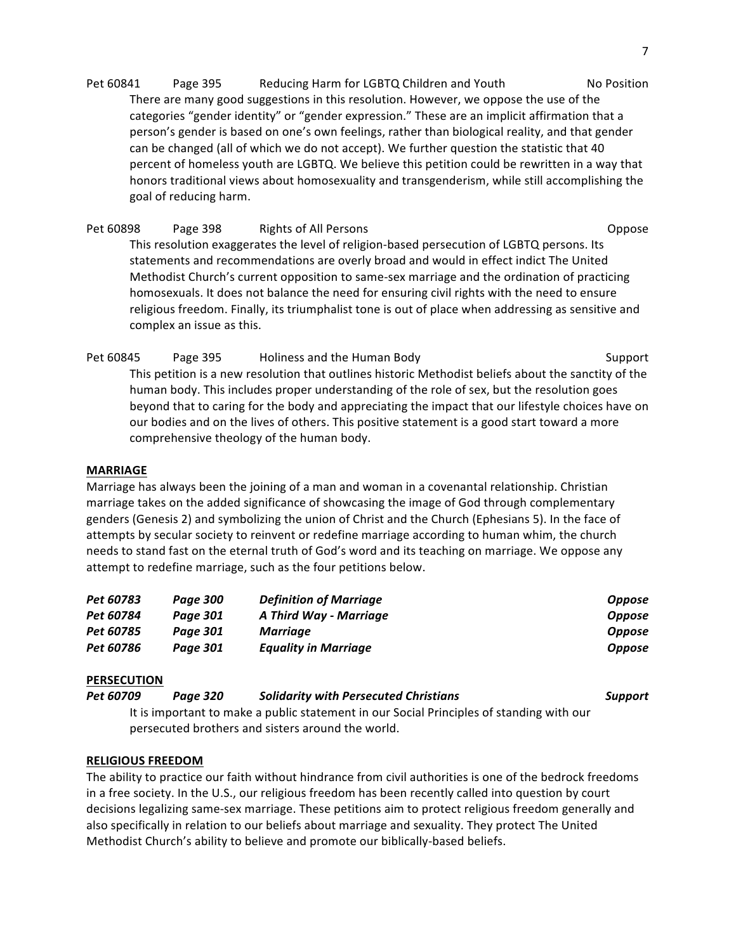Pet 60841 Page 395 Reducing Harm for LGBTQ Children and Youth No Position There are many good suggestions in this resolution. However, we oppose the use of the categories "gender identity" or "gender expression." These are an implicit affirmation that a person's gender is based on one's own feelings, rather than biological reality, and that gender can be changed (all of which we do not accept). We further question the statistic that 40 percent of homeless youth are LGBTQ. We believe this petition could be rewritten in a way that honors traditional views about homosexuality and transgenderism, while still accomplishing the goal of reducing harm.

Pet 60898 Page 398 Rights of All Persons **Company Accord Company** Coppose This resolution exaggerates the level of religion-based persecution of LGBTQ persons. Its statements and recommendations are overly broad and would in effect indict The United Methodist Church's current opposition to same-sex marriage and the ordination of practicing homosexuals. It does not balance the need for ensuring civil rights with the need to ensure religious freedom. Finally, its triumphalist tone is out of place when addressing as sensitive and complex an issue as this.

Pet 60845 Page 395 Holiness and the Human Body Net 60845 Support This petition is a new resolution that outlines historic Methodist beliefs about the sanctity of the human body. This includes proper understanding of the role of sex, but the resolution goes beyond that to caring for the body and appreciating the impact that our lifestyle choices have on our bodies and on the lives of others. This positive statement is a good start toward a more comprehensive theology of the human body.

# **MARRIAGE**

Marriage has always been the joining of a man and woman in a covenantal relationship. Christian marriage takes on the added significance of showcasing the image of God through complementary genders (Genesis 2) and symbolizing the union of Christ and the Church (Ephesians 5). In the face of attempts by secular society to reinvent or redefine marriage according to human whim, the church needs to stand fast on the eternal truth of God's word and its teaching on marriage. We oppose any attempt to redefine marriage, such as the four petitions below.

| Pet 60783 | Paae 300 | <b>Definition of Marriage</b> | <b>Oppose</b> |
|-----------|----------|-------------------------------|---------------|
| Pet 60784 | Paae 301 | A Third Way - Marriage        | <b>Oppose</b> |
| Pet 60785 | Paae 301 | Marriage                      | <b>Oppose</b> |
| Pet 60786 | Paae 301 | <b>Equality in Marriage</b>   | <b>Oppose</b> |

# **PERSECUTION**

*Pet 60709 Page 320 Solidarity with Persecuted Christians Support*

It is important to make a public statement in our Social Principles of standing with our persecuted brothers and sisters around the world.

### **RELIGIOUS FREEDOM**

The ability to practice our faith without hindrance from civil authorities is one of the bedrock freedoms in a free society. In the U.S., our religious freedom has been recently called into question by court decisions legalizing same-sex marriage. These petitions aim to protect religious freedom generally and also specifically in relation to our beliefs about marriage and sexuality. They protect The United Methodist Church's ability to believe and promote our biblically-based beliefs.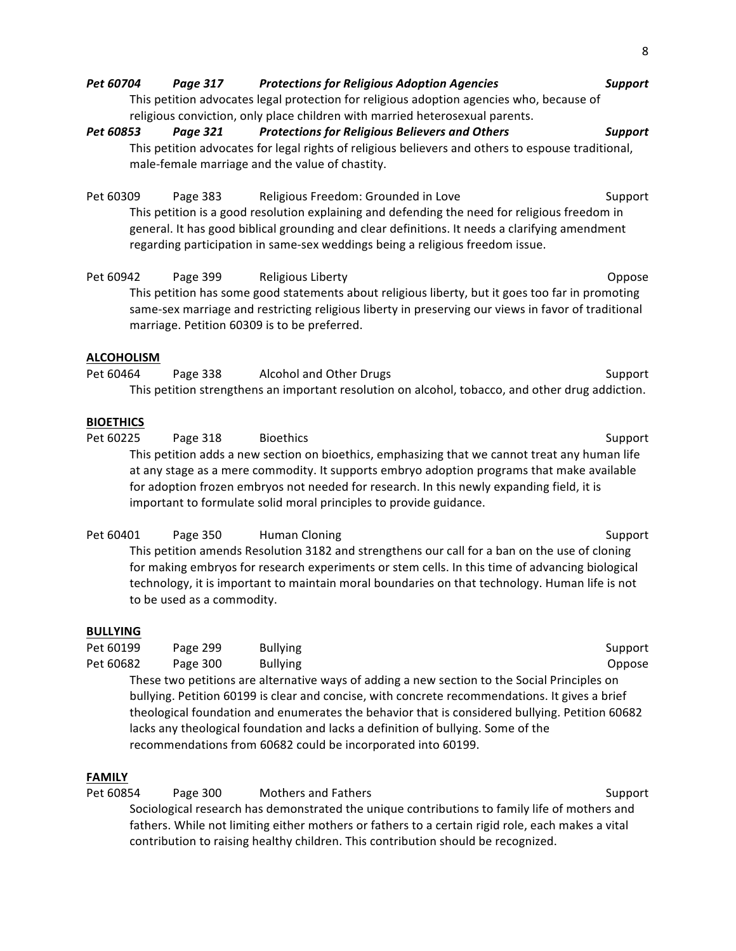*Pet 60704 Page 317 Protections for Religious Adoption Agencies Support* This petition advocates legal protection for religious adoption agencies who, because of religious conviction, only place children with married heterosexual parents. *Pet 60853 Page 321 Protections for Religious Believers and Others Support* This petition advocates for legal rights of religious believers and others to espouse traditional, male-female marriage and the value of chastity. Pet 60309 Page 383 Religious Freedom: Grounded in Love Support This petition is a good resolution explaining and defending the need for religious freedom in general. It has good biblical grounding and clear definitions. It needs a clarifying amendment regarding participation in same-sex weddings being a religious freedom issue. Pet 60942 Page 399 Religious Liberty **Container Container Container Container Container** Oppose This petition has some good statements about religious liberty, but it goes too far in promoting same-sex marriage and restricting religious liberty in preserving our views in favor of traditional marriage. Petition 60309 is to be preferred. **ALCOHOLISM** Pet 60464 Page 338 Alcohol and Other Drugs Network Support This petition strengthens an important resolution on alcohol, tobacco, and other drug addiction.

# **BIOETHICS**

Pet 60225 Page 318 Bioethics Bioston Communication Communication Support This petition adds a new section on bioethics, emphasizing that we cannot treat any human life at any stage as a mere commodity. It supports embryo adoption programs that make available for adoption frozen embryos not needed for research. In this newly expanding field, it is important to formulate solid moral principles to provide guidance.

Pet 60401 Page 350 Human Cloning Support Support This petition amends Resolution 3182 and strengthens our call for a ban on the use of cloning for making embryos for research experiments or stem cells. In this time of advancing biological technology, it is important to maintain moral boundaries on that technology. Human life is not to be used as a commodity.

### **BULLYING**

| Pet 60199 | Page 299                                                     | <b>Bullying</b> | Support                                                                                        |
|-----------|--------------------------------------------------------------|-----------------|------------------------------------------------------------------------------------------------|
| Pet 60682 | Page 300                                                     | <b>Bullying</b> | Oppose                                                                                         |
|           |                                                              |                 | These two petitions are alternative ways of adding a new section to the Social Principles on   |
|           |                                                              |                 | bullying. Petition 60199 is clear and concise, with concrete recommendations. It gives a brief |
|           |                                                              |                 | theological foundation and enumerates the behavior that is considered bullying. Petition 60682 |
|           |                                                              |                 | lacks any theological foundation and lacks a definition of bullying. Some of the               |
|           | recommendations from 60682 could be incorporated into 60199. |                 |                                                                                                |

# **FAMILY**

Pet 60854 Page 300 Mothers and Fathers Support Support

Sociological research has demonstrated the unique contributions to family life of mothers and fathers. While not limiting either mothers or fathers to a certain rigid role, each makes a vital contribution to raising healthy children. This contribution should be recognized.